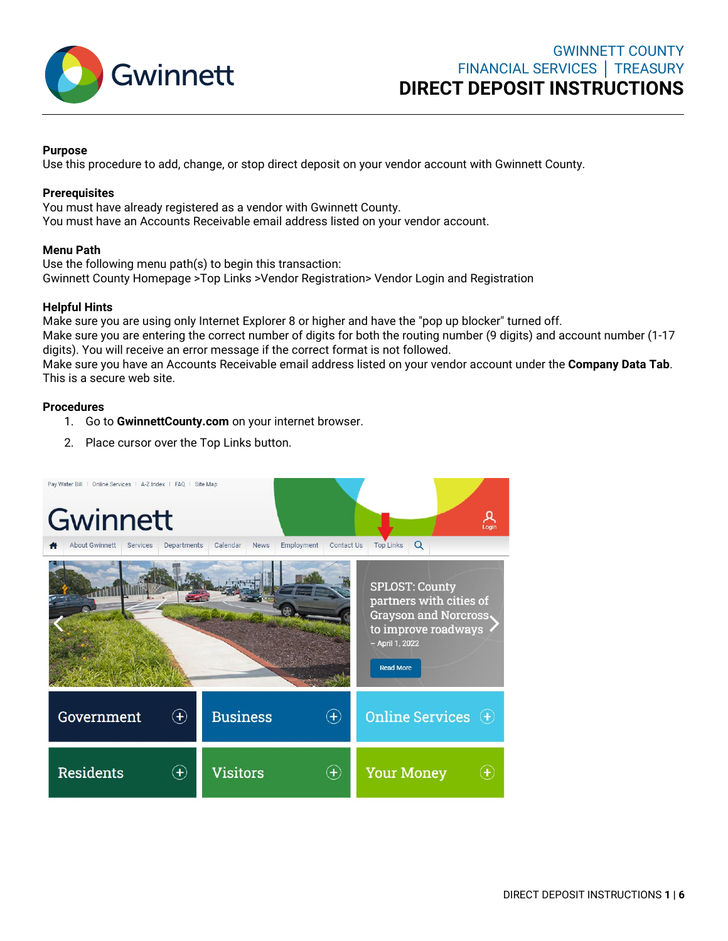

# **Purpose**

Use this procedure to add, change, or stop direct deposit on your vendor account with Gwinnett County.

## **Prerequisites**

You must have already registered as a vendor with Gwinnett County. You must have an Accounts Receivable email address listed on your vendor account.

# **Menu Path**

Use the following menu path(s) to begin this transaction: Gwinnett County Homepage >Top Links >Vendor Registration> Vendor Login and Registration

# **Helpful Hints**

Make sure you are using only Internet Explorer 8 or higher and have the "pop up blocker" turned off. Make sure you are entering the correct number of digits for both the routing number (9 digits) and account number (1-17 digits). You will receive an error message if the correct format is not followed.

Make sure you have an Accounts Receivable email address listed on your vendor account under the **Company Data Tab**. This is a secure web site.

## **Procedures**

- 1. Go to **GwinnettCounty.com** on your internet browser.
- 2. Place cursor over the Top Links button.

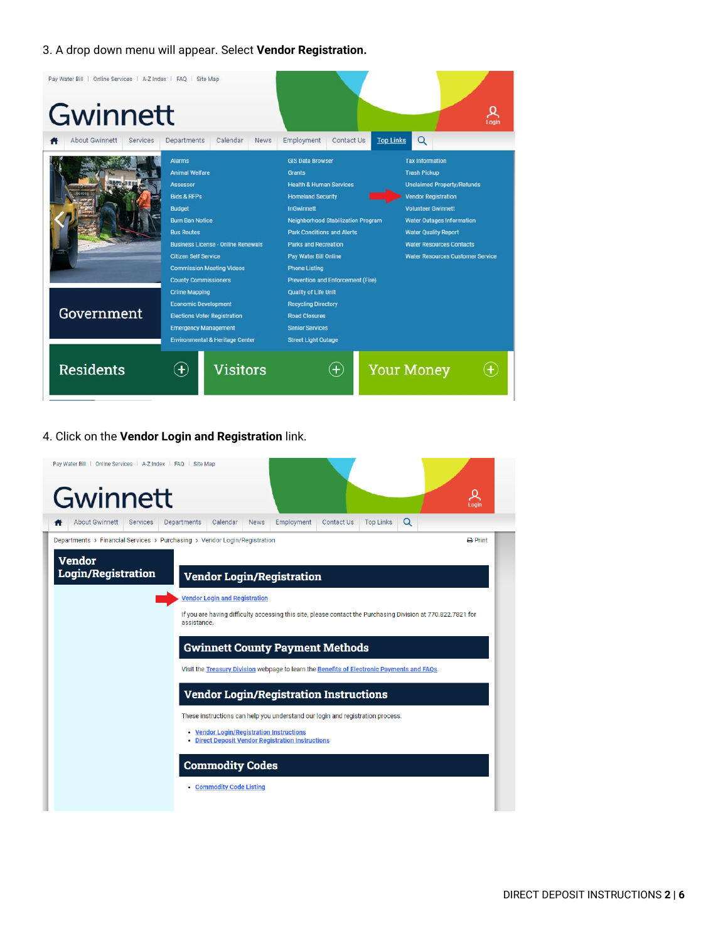# 3. A drop down menu will appear. Select **Vendor Registration.**

| Pay Water Bill   Online Services   A-Z Index   FAQ   Site Map<br>Gwinnett |                                                                                                                                                                                                                                                                                                    |                                                                                                                                                                                                                                                                                                                                                      |                                                                                                                                                                                                                                                                                                |
|---------------------------------------------------------------------------|----------------------------------------------------------------------------------------------------------------------------------------------------------------------------------------------------------------------------------------------------------------------------------------------------|------------------------------------------------------------------------------------------------------------------------------------------------------------------------------------------------------------------------------------------------------------------------------------------------------------------------------------------------------|------------------------------------------------------------------------------------------------------------------------------------------------------------------------------------------------------------------------------------------------------------------------------------------------|
| About Gwinnett<br>Services                                                | Calendar<br>Departments<br><b>News</b>                                                                                                                                                                                                                                                             | <b>Top Links</b><br>Employment<br>Contact Us                                                                                                                                                                                                                                                                                                         | Q                                                                                                                                                                                                                                                                                              |
|                                                                           | <b>Alarms</b><br><b>Animal Welfare</b><br><b>Assessor</b><br><b>Bids &amp; RFPs</b><br><b>Budget</b><br><b>Burn Ban Notice</b><br><b>Bus Routes</b><br><b>Business License - Online Renewals</b><br><b>Citizen Self Service</b><br><b>Commission Meeting Videos</b><br><b>County Commissioners</b> | <b>GIS Data Browser</b><br><b>Grants</b><br><b>Health &amp; Human Services</b><br><b>Homeland Security</b><br><b>InGwinnett</b><br><b>Neighborhood Stabilization Program</b><br><b>Park Conditions and Alerts</b><br><b>Parks and Recreation</b><br><b>Pay Water Bill Online</b><br><b>Phone Listing</b><br><b>Prevention and Enforcement (Fire)</b> | <b>Tax Information</b><br><b>Trash Pickup</b><br><b>Unclaimed Property/Refunds</b><br><b>Vendor Registration</b><br><b>Volunteer Gwinnett</b><br><b>Water Outages Information</b><br><b>Water Quality Report</b><br><b>Water Resources Contacts</b><br><b>Water Resources Customer Service</b> |
| Government                                                                | <b>Crime Mapping</b><br><b>Economic Development</b><br><b>Elections Voter Registration</b><br><b>Emergency Management</b><br><b>Environmental &amp; Heritage Center</b>                                                                                                                            | <b>Quality of Life Unit</b><br><b>Recycling Directory</b><br><b>Road Closures</b><br><b>Senior Services</b><br><b>Street Light Outage</b>                                                                                                                                                                                                            |                                                                                                                                                                                                                                                                                                |
| <b>Residents</b>                                                          | <b>Visitors</b><br>$\left( \mathbf{+}\right)$                                                                                                                                                                                                                                                      | $\left( + \right)$                                                                                                                                                                                                                                                                                                                                   | <b>Your Money</b>                                                                                                                                                                                                                                                                              |

#### 4. Click on the **Vendor Login and Registration** link.

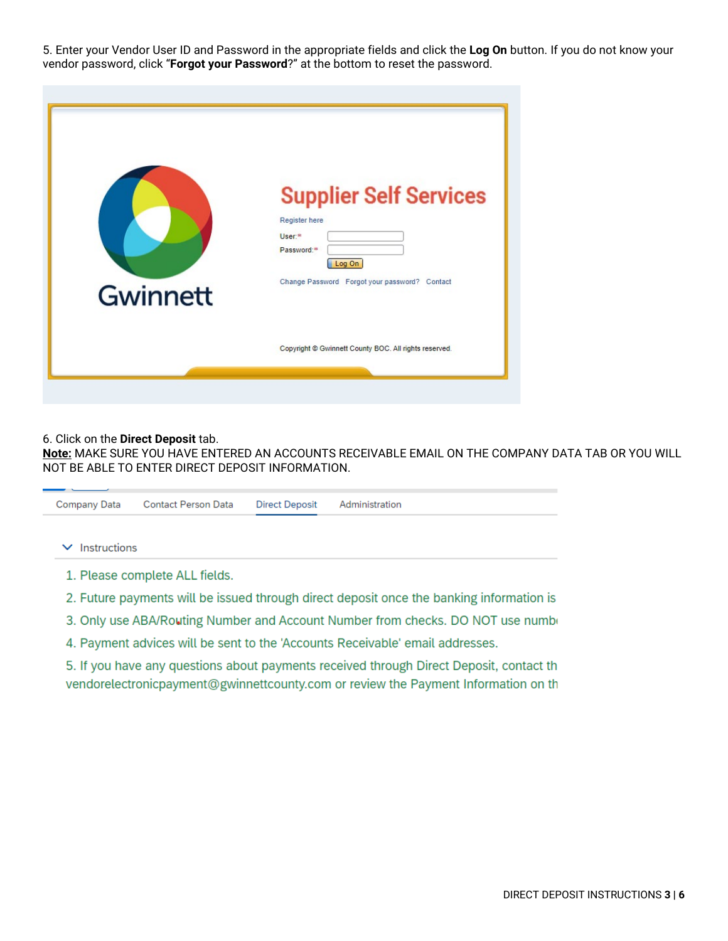5. Enter your Vendor User ID and Password in the appropriate fields and click the **Log On** button. If you do not know your vendor password, click "**Forgot your Password**?" at the bottom to reset the password.

| Gwinnett | <b>Supplier Self Services</b><br>Register here<br>User <sup>*</sup><br>Password:*<br>Log On<br>Change Password Forgot your password? Contact |
|----------|----------------------------------------------------------------------------------------------------------------------------------------------|
|          | Copyright @ Gwinnett County BOC. All rights reserved.                                                                                        |

#### 6. Click on the **Direct Deposit** tab.

**Note:** MAKE SURE YOU HAVE ENTERED AN ACCOUNTS RECEIVABLE EMAIL ON THE COMPANY DATA TAB OR YOU WILL NOT BE ABLE TO ENTER DIRECT DEPOSIT INFORMATION.

| Company Data                 | <b>Contact Person Data</b>     | <b>Direct Deposit</b> | Administration                                                                           |
|------------------------------|--------------------------------|-----------------------|------------------------------------------------------------------------------------------|
| Instructions<br>$\checkmark$ |                                |                       |                                                                                          |
|                              | 1. Please complete ALL fields. |                       |                                                                                          |
|                              |                                |                       | 2. Future payments will be issued through direct deposit once the banking information is |
|                              |                                |                       | 3. Only use ABA/Routing Number and Account Number from checks. DO NOT use number         |

4. Payment advices will be sent to the 'Accounts Receivable' email addresses.

5. If you have any questions about payments received through Direct Deposit, contact th vendorelectronicpayment@gwinnettcounty.com or review the Payment Information on th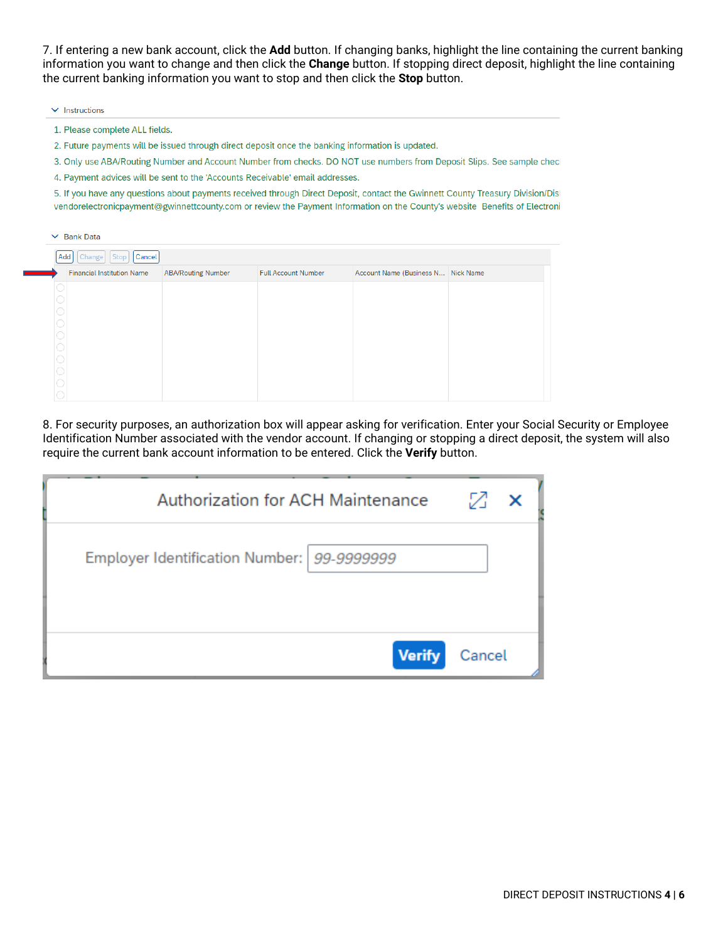7. If entering a new bank account, click the **Add** button. If changing banks, highlight the line containing the current banking information you want to change and then click the **Change** button. If stopping direct deposit, highlight the line containing the current banking information you want to stop and then click the **Stop** button.

- $\vee$  Instructions
- 1. Please complete ALL fields.
- 2. Future payments will be issued through direct deposit once the banking information is updated.
- 3. Only use ABA/Routing Number and Account Number from checks. DO NOT use numbers from Deposit Slips. See sample checl
- 4. Payment advices will be sent to the 'Accounts Receivable' email addresses.

5. If you have any questions about payments received through Direct Deposit, contact the Gwinnett County Treasury Division/Disl vendorelectronicpayment@gwinnettcounty.com or review the Payment Information on the County's website Benefits of Electroni

| $\checkmark$ | <b>Bank Data</b>                  |                           |                            |                                    |  |
|--------------|-----------------------------------|---------------------------|----------------------------|------------------------------------|--|
|              | Change   Stop<br>Cancel<br>Add    |                           |                            |                                    |  |
|              | <b>Financial Institution Name</b> | <b>ABA/Routing Number</b> | <b>Full Account Number</b> | Account Name (Business N Nick Name |  |
|              |                                   |                           |                            |                                    |  |
|              |                                   |                           |                            |                                    |  |
|              |                                   |                           |                            |                                    |  |
|              |                                   |                           |                            |                                    |  |
|              |                                   |                           |                            |                                    |  |
|              |                                   |                           |                            |                                    |  |
|              |                                   |                           |                            |                                    |  |
|              |                                   |                           |                            |                                    |  |
|              |                                   |                           |                            |                                    |  |

8. For security purposes, an authorization box will appear asking for verification. Enter your Social Security or Employee Identification Number associated with the vendor account. If changing or stopping a direct deposit, the system will also require the current bank account information to be entered. Click the **Verify** button.

| Authorization for ACH Maintenance          | Z      | $\boldsymbol{\mathsf{x}}$ |
|--------------------------------------------|--------|---------------------------|
| Employer Identification Number: 99-9999999 |        |                           |
| <b>Verify</b>                              | Cancel |                           |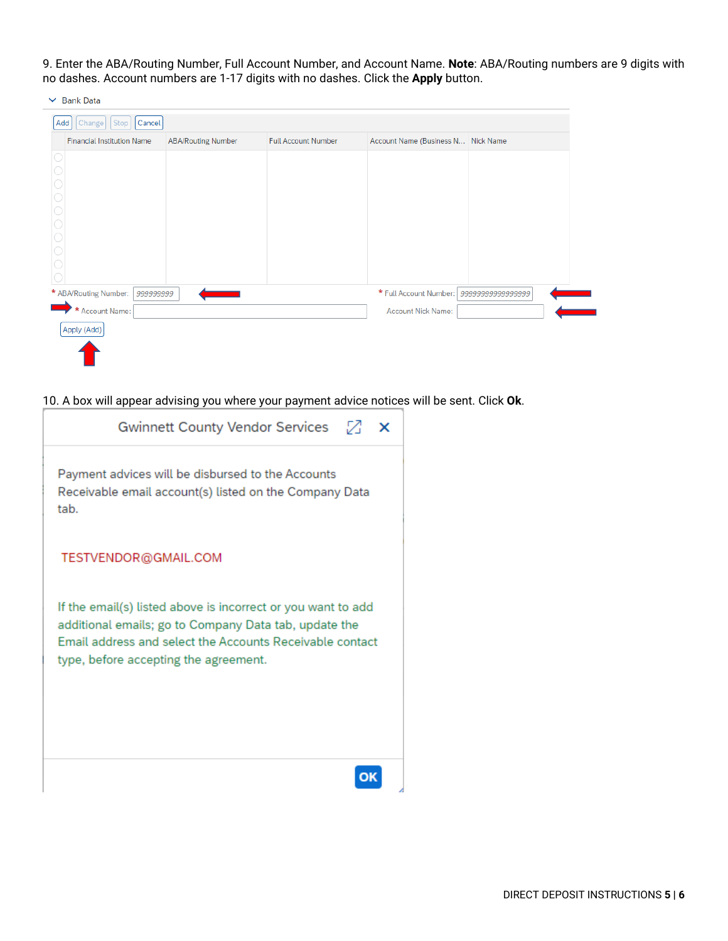9. Enter the ABA/Routing Number, Full Account Number, and Account Name. **Note**: ABA/Routing numbers are 9 digits with no dashes. Account numbers are 1-17 digits with no dashes. Click the **Apply** button.

| Stop<br>Add<br>Change<br>  Cancel  |                           |                            |                                    |                   |
|------------------------------------|---------------------------|----------------------------|------------------------------------|-------------------|
| <b>Financial Institution Name</b>  | <b>ABA/Routing Number</b> | <b>Full Account Number</b> | Account Name (Business N Nick Name |                   |
|                                    |                           |                            |                                    |                   |
|                                    |                           |                            |                                    |                   |
|                                    |                           |                            |                                    |                   |
|                                    |                           |                            |                                    |                   |
|                                    |                           |                            |                                    |                   |
|                                    |                           |                            |                                    |                   |
|                                    |                           |                            |                                    |                   |
|                                    |                           |                            |                                    |                   |
| * ABA/Routing Number:<br>999999999 |                           |                            | * Full Account Number:             | 99999999999999999 |
| * Account Name:                    |                           |                            | <b>Account Nick Name:</b>          |                   |
| Apply (Add)                        |                           |                            |                                    |                   |
|                                    |                           |                            |                                    |                   |

10. A box will appear advising you where your payment advice notices will be sent. Click **Ok**.

| Gwinnett County Vendor Services $\boxtimes$ X                                                                                                                                                                              |
|----------------------------------------------------------------------------------------------------------------------------------------------------------------------------------------------------------------------------|
| Payment advices will be disbursed to the Accounts<br>Receivable email account(s) listed on the Company Data<br>tab.                                                                                                        |
| TESTVENDOR@GMAIL.COM                                                                                                                                                                                                       |
| If the email(s) listed above is incorrect or you want to add<br>additional emails; go to Company Data tab, update the<br>Email address and select the Accounts Receivable contact<br>type, before accepting the agreement. |
|                                                                                                                                                                                                                            |